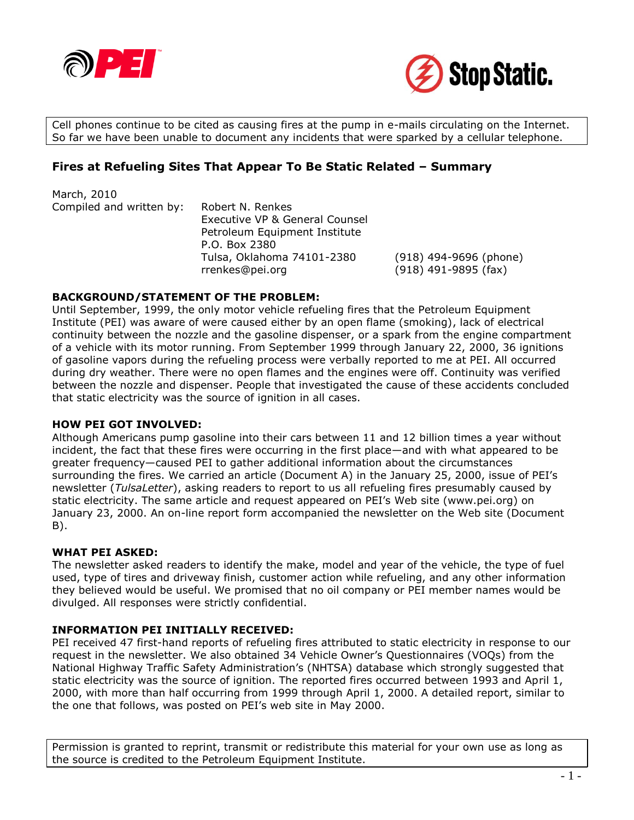



Cell phones continue to be cited as causing fires at the pump in e-mails circulating on the Internet. So far we have been unable to document any incidents that were sparked by a cellular telephone.

## **Fires at Refueling Sites That Appear To Be Static Related – Summary**

March, 2010 Compiled and written by: Robert N. Renkes Executive VP & General Counsel Petroleum Equipment Institute P.O. Box 2380 Tulsa, Oklahoma 74101-2380 (918) 494-9696 (phone) rrenkes@pei.org (918) 491-9895 (fax)

### **BACKGROUND/STATEMENT OF THE PROBLEM:**

Until September, 1999, the only motor vehicle refueling fires that the Petroleum Equipment Institute (PEI) was aware of were caused either by an open flame (smoking), lack of electrical continuity between the nozzle and the gasoline dispenser, or a spark from the engine compartment of a vehicle with its motor running. From September 1999 through January 22, 2000, 36 ignitions of gasoline vapors during the refueling process were verbally reported to me at PEI. All occurred during dry weather. There were no open flames and the engines were off. Continuity was verified between the nozzle and dispenser. People that investigated the cause of these accidents concluded that static electricity was the source of ignition in all cases.

### **HOW PEI GOT INVOLVED:**

Although Americans pump gasoline into their cars between 11 and 12 billion times a year without incident, the fact that these fires were occurring in the first place—and with what appeared to be greater frequency—caused PEI to gather additional information about the circumstances surrounding the fires. We carried an article (Document A) in the January 25, 2000, issue of PEI's newsletter (*TulsaLetter*), asking readers to report to us all refueling fires presumably caused by static electricity. The same article and request appeared on PEI's Web site (www.pei.org) on January 23, 2000. An on-line report form accompanied the newsletter on the Web site (Document B).

### **WHAT PEI ASKED:**

The newsletter asked readers to identify the make, model and year of the vehicle, the type of fuel used, type of tires and driveway finish, customer action while refueling, and any other information they believed would be useful. We promised that no oil company or PEI member names would be divulged. All responses were strictly confidential.

### **INFORMATION PEI INITIALLY RECEIVED:**

PEI received 47 first-hand reports of refueling fires attributed to static electricity in response to our request in the newsletter. We also obtained 34 Vehicle Owner's Questionnaires (VOQs) from the National Highway Traffic Safety Administration's (NHTSA) database which strongly suggested that static electricity was the source of ignition. The reported fires occurred between 1993 and April 1, 2000, with more than half occurring from 1999 through April 1, 2000. A detailed report, similar to the one that follows, was posted on PEI's web site in May 2000.

Permission is granted to reprint, transmit or redistribute this material for your own use as long as the source is credited to the Petroleum Equipment Institute.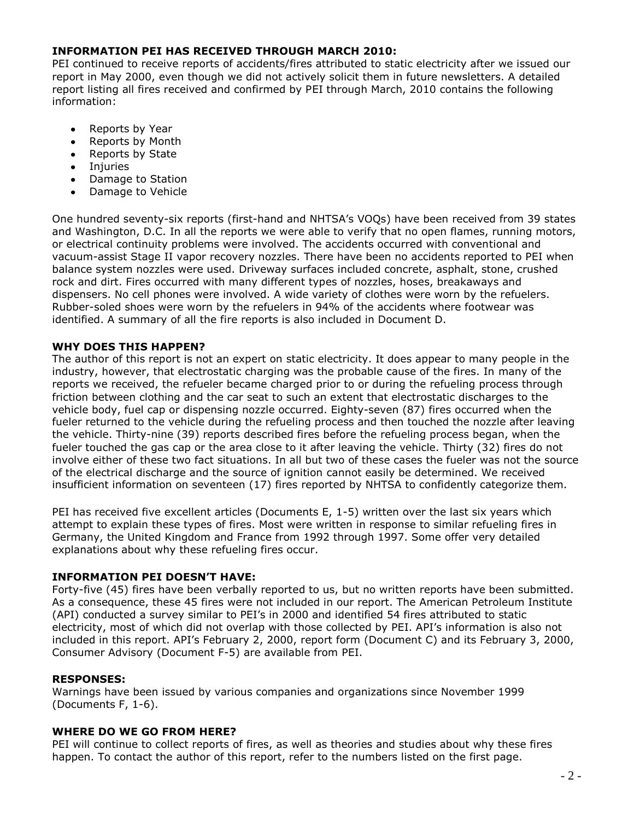### **INFORMATION PEI HAS RECEIVED THROUGH MARCH 2010:**

PEI continued to receive reports of accidents/fires attributed to static electricity after we issued our report in May 2000, even though we did not actively solicit them in future newsletters. A detailed report listing all fires received and confirmed by PEI through March, 2010 contains the following information:

- Reports by Year  $\bullet$
- Reports by Month  $\bullet$
- Reports by State  $\bullet$
- $\bullet$ Injuries
- $\bullet$ Damage to Station
- Damage to Vehicle  $\bullet$

One hundred seventy-six reports (first-hand and NHTSA's VOQs) have been received from 39 states and Washington, D.C. In all the reports we were able to verify that no open flames, running motors, or electrical continuity problems were involved. The accidents occurred with conventional and vacuum-assist Stage II vapor recovery nozzles. There have been no accidents reported to PEI when balance system nozzles were used. Driveway surfaces included concrete, asphalt, stone, crushed rock and dirt. Fires occurred with many different types of nozzles, hoses, breakaways and dispensers. No cell phones were involved. A wide variety of clothes were worn by the refuelers. Rubber-soled shoes were worn by the refuelers in 94% of the accidents where footwear was identified. A summary of all the fire reports is also included in Document D.

### **WHY DOES THIS HAPPEN?**

The author of this report is not an expert on static electricity. It does appear to many people in the industry, however, that electrostatic charging was the probable cause of the fires. In many of the reports we received, the refueler became charged prior to or during the refueling process through friction between clothing and the car seat to such an extent that electrostatic discharges to the vehicle body, fuel cap or dispensing nozzle occurred. Eighty-seven (87) fires occurred when the fueler returned to the vehicle during the refueling process and then touched the nozzle after leaving the vehicle. Thirty-nine (39) reports described fires before the refueling process began, when the fueler touched the gas cap or the area close to it after leaving the vehicle. Thirty (32) fires do not involve either of these two fact situations. In all but two of these cases the fueler was not the source of the electrical discharge and the source of ignition cannot easily be determined. We received insufficient information on seventeen (17) fires reported by NHTSA to confidently categorize them.

PEI has received five excellent articles (Documents E, 1-5) written over the last six years which attempt to explain these types of fires. Most were written in response to similar refueling fires in Germany, the United Kingdom and France from 1992 through 1997. Some offer very detailed explanations about why these refueling fires occur.

### **INFORMATION PEI DOESN'T HAVE:**

Forty-five (45) fires have been verbally reported to us, but no written reports have been submitted. As a consequence, these 45 fires were not included in our report. The American Petroleum Institute (API) conducted a survey similar to PEI's in 2000 and identified 54 fires attributed to static electricity, most of which did not overlap with those collected by PEI. API's information is also not included in this report. API's February 2, 2000, report form (Document C) and its February 3, 2000, Consumer Advisory (Document F-5) are available from PEI.

### **RESPONSES:**

Warnings have been issued by various companies and organizations since November 1999 (Documents F, 1-6).

### **WHERE DO WE GO FROM HERE?**

PEI will continue to collect reports of fires, as well as theories and studies about why these fires happen. To contact the author of this report, refer to the numbers listed on the first page.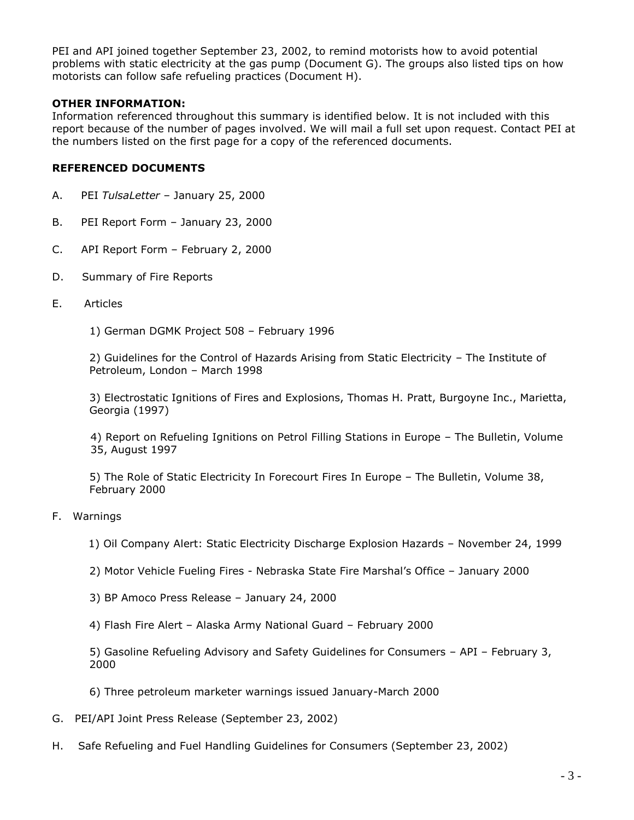PEI and API joined together September 23, 2002, to remind motorists how to avoid potential problems with static electricity at the gas pump (Document G). The groups also listed tips on how motorists can follow safe refueling practices (Document H).

## **OTHER INFORMATION:**

Information referenced throughout this summary is identified below. It is not included with this report because of the number of pages involved. We will mail a full set upon request. Contact PEI at the numbers listed on the first page for a copy of the referenced documents.

### **REFERENCED DOCUMENTS**

- A. PEI *TulsaLetter* January 25, 2000
- B. PEI Report Form January 23, 2000
- C. API Report Form February 2, 2000
- D. Summary of Fire Reports
- E. Articles
	- 1) German DGMK Project 508 February 1996

2) Guidelines for the Control of Hazards Arising from Static Electricity – The Institute of Petroleum, London – March 1998

3) Electrostatic Ignitions of Fires and Explosions, Thomas H. Pratt, Burgoyne Inc., Marietta, Georgia (1997)

4) Report on Refueling Ignitions on Petrol Filling Stations in Europe – The Bulletin, Volume 35, August 1997

5) The Role of Static Electricity In Forecourt Fires In Europe – The Bulletin, Volume 38, February 2000

- F. Warnings
	- 1) Oil Company Alert: Static Electricity Discharge Explosion Hazards November 24, 1999
	- 2) Motor Vehicle Fueling Fires Nebraska State Fire Marshal's Office January 2000
	- 3) BP Amoco Press Release January 24, 2000
	- 4) Flash Fire Alert Alaska Army National Guard February 2000

5) Gasoline Refueling Advisory and Safety Guidelines for Consumers – API – February 3, 2000

- 6) Three petroleum marketer warnings issued January-March 2000
- G. PEI/API Joint Press Release (September 23, 2002)
- H. Safe Refueling and Fuel Handling Guidelines for Consumers (September 23, 2002)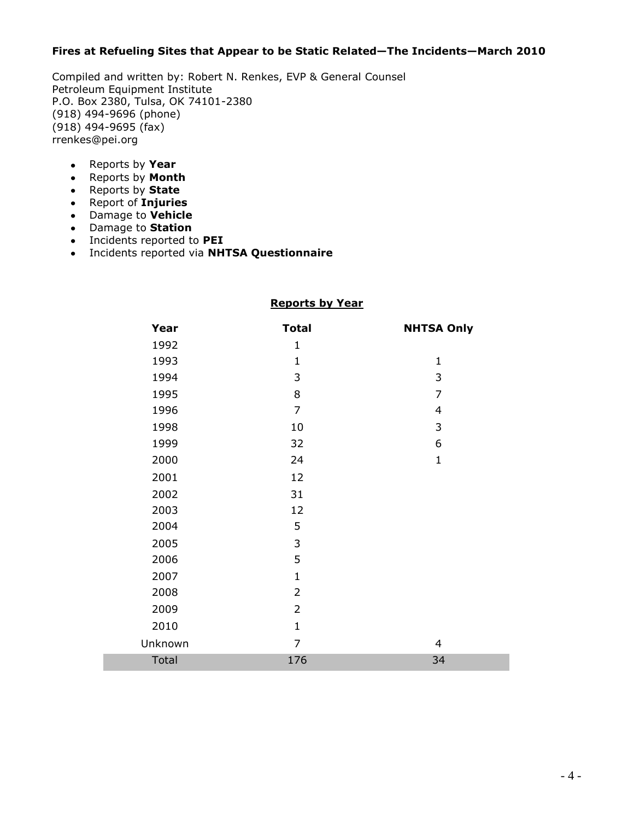### **Fires at Refueling Sites that Appear to be Static Related—The Incidents—March 2010**

Compiled and written by: Robert N. Renkes, EVP & General Counsel Petroleum Equipment Institute P.O. Box 2380, Tulsa, OK 74101-2380 (918) 494-9696 (phone) (918) 494-9695 (fax) rrenkes@pei.org

- Reports by **Year**
- Reports by **Month**
- Reports by **State**
- Report of **Injuries**
- Damage to **Vehicle**
- Damage to **Station**
- Incidents reported to **PEI**
- Incidents reported via **NHTSA Questionnaire**

## **Reports by Year**

| Year    | <b>Total</b>   | <b>NHTSA Only</b> |
|---------|----------------|-------------------|
| 1992    | $\mathbf{1}$   |                   |
| 1993    | $\mathbf{1}$   | $\mathbf{1}$      |
| 1994    | 3              | 3                 |
| 1995    | 8              | $\overline{7}$    |
| 1996    | $\overline{7}$ | $\overline{4}$    |
| 1998    | 10             | $\mathsf{3}$      |
| 1999    | 32             | 6                 |
| 2000    | 24             | $\mathbf{1}$      |
| 2001    | 12             |                   |
| 2002    | 31             |                   |
| 2003    | 12             |                   |
| 2004    | 5              |                   |
| 2005    | 3              |                   |
| 2006    | 5              |                   |
| 2007    | $\mathbf{1}$   |                   |
| 2008    | $\overline{2}$ |                   |
| 2009    | $\overline{2}$ |                   |
| 2010    | $\mathbf{1}$   |                   |
| Unknown | $\overline{7}$ | $\overline{4}$    |
| Total   | 176            | 34                |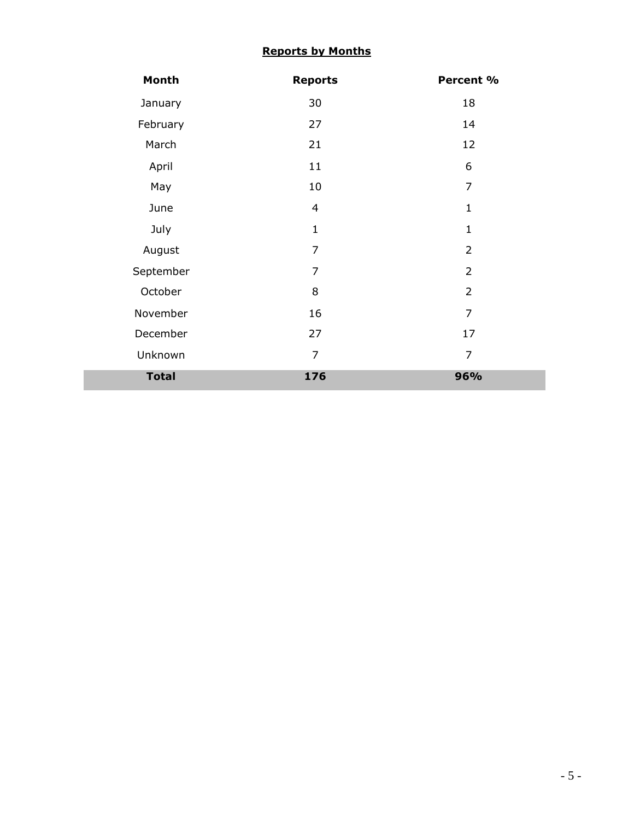# **Reports by Months**

| Month        | <b>Reports</b> | Percent %      |
|--------------|----------------|----------------|
| January      | 30             | 18             |
| February     | 27             | 14             |
| March        | 21             | 12             |
| April        | 11             | 6              |
| May          | 10             | 7              |
| June         | $\overline{4}$ | $\mathbf 1$    |
| July         | $\mathbf{1}$   | $\mathbf{1}$   |
| August       | $\overline{7}$ | $\overline{2}$ |
| September    | $\overline{7}$ | $\overline{2}$ |
| October      | 8              | $\overline{2}$ |
| November     | 16             | $\overline{7}$ |
| December     | 27             | 17             |
| Unknown      | $\overline{7}$ | $\overline{7}$ |
| <b>Total</b> | 176            | 96%            |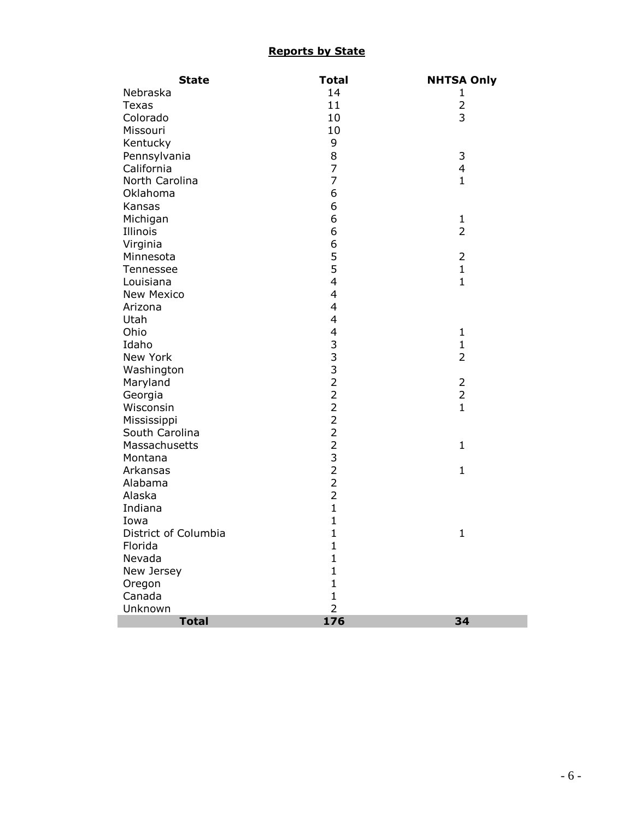## **Reports by State**

| <b>State</b>         | <b>Total</b>                                         | <b>NHTSA Only</b> |
|----------------------|------------------------------------------------------|-------------------|
| Nebraska             | 14                                                   | 1                 |
| <b>Texas</b>         | 11                                                   | $\overline{2}$    |
| Colorado             | 10                                                   | 3                 |
| Missouri             | 10                                                   |                   |
| Kentucky             | 9                                                    |                   |
| Pennsylvania         | 8                                                    | 3                 |
| California           | $\overline{7}$                                       | $\overline{4}$    |
| North Carolina       | $\overline{7}$                                       | $\mathbf{1}$      |
| Oklahoma             | 6                                                    |                   |
| Kansas               | 6                                                    |                   |
| Michigan             | 6                                                    | $\mathbf{1}$      |
| Illinois             | 6                                                    | $\overline{2}$    |
| Virginia             |                                                      |                   |
| Minnesota            |                                                      | $\overline{2}$    |
| Tennessee            | 6<br>5<br>5                                          | $\mathbf{1}$      |
| Louisiana            | 4                                                    | $\mathbf{1}$      |
| <b>New Mexico</b>    | $\overline{\mathcal{L}}$                             |                   |
| Arizona              | 4                                                    |                   |
| Utah                 | 4                                                    |                   |
| Ohio                 | $\overline{\mathcal{A}}$                             | $\mathbf{1}$      |
| Idaho                |                                                      | $\mathbf{1}$      |
| New York             |                                                      | $\overline{2}$    |
| Washington           | $\begin{array}{c}\n3 & 3 \\ 3 & 2 \\ 2\n\end{array}$ |                   |
| Maryland             |                                                      | $\overline{2}$    |
| Georgia              |                                                      | $\overline{2}$    |
| Wisconsin            | $\overline{2}$                                       | $\mathbf{1}$      |
| Mississippi          |                                                      |                   |
| South Carolina       | $\frac{2}{2}$                                        |                   |
| Massachusetts        |                                                      | $\mathbf{1}$      |
| Montana              |                                                      |                   |
| Arkansas             |                                                      | $\mathbf{1}$      |
| Alabama              | $2322$                                               |                   |
| Alaska               |                                                      |                   |
| Indiana              | $\mathbf{1}$                                         |                   |
| Iowa                 | $\mathbf{1}$                                         |                   |
| District of Columbia | $\mathbf{1}$                                         | $\mathbf{1}$      |
| Florida              | $\mathbf{1}% \in\mathbb{Z}_{+}^{d}[z,\bar{z}]$       |                   |
| Nevada               | $\mathbf{1}$                                         |                   |
| New Jersey           | $\mathbf{1}$                                         |                   |
| Oregon               | $\mathbf{1}$                                         |                   |
| Canada               | $\mathbf{1}$                                         |                   |
| Unknown              | $\overline{2}$                                       |                   |
| <b>Total</b>         | 176                                                  | 34                |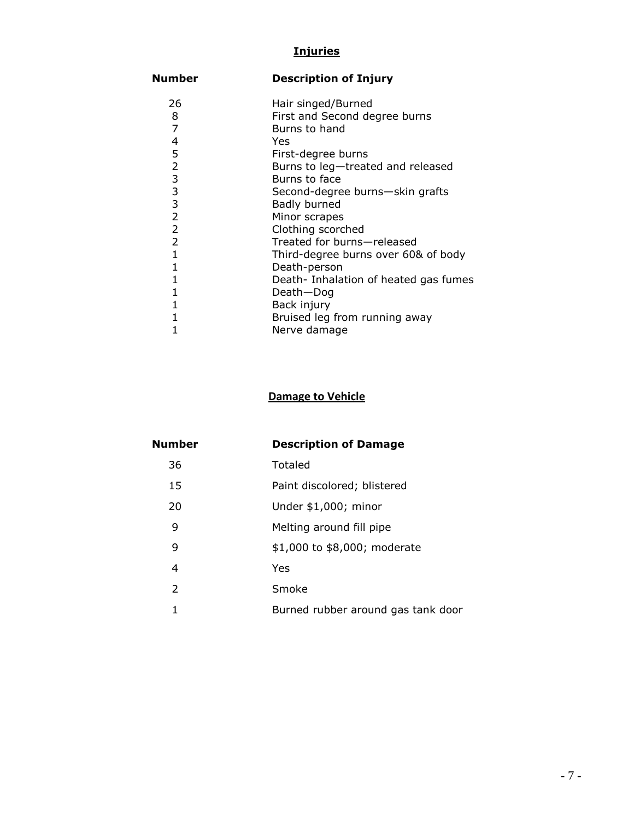## **Injuries**

# **Number Description of Injury**

| 26             | Hair singed/Burned                    |
|----------------|---------------------------------------|
| 8              | First and Second degree burns         |
| $\overline{7}$ | Burns to hand                         |
| 4              | Yes                                   |
| 5              | First-degree burns                    |
| $\overline{2}$ | Burns to leg-treated and released     |
| 3              | Burns to face                         |
| 3              | Second-degree burns-skin grafts       |
| 3              | Badly burned                          |
| $\overline{2}$ | Minor scrapes                         |
| $\overline{2}$ | Clothing scorched                     |
| $\overline{2}$ | Treated for burns-released            |
| 1              | Third-degree burns over 60& of body   |
| 1              | Death-person                          |
|                | Death- Inhalation of heated gas fumes |
|                | Death-Dog                             |
|                | Back injury                           |
|                | Bruised leg from running away         |
|                | Nerve damage                          |

# **Damage to Vehicle**

| Number        | <b>Description of Damage</b>       |  |
|---------------|------------------------------------|--|
| 36            | Totaled                            |  |
| 15            | Paint discolored; blistered        |  |
| 20            | Under \$1,000; minor               |  |
| 9             | Melting around fill pipe           |  |
| 9             | \$1,000 to \$8,000; moderate       |  |
| 4             | Yes                                |  |
| $\mathcal{L}$ | Smoke                              |  |
|               | Burned rubber around gas tank door |  |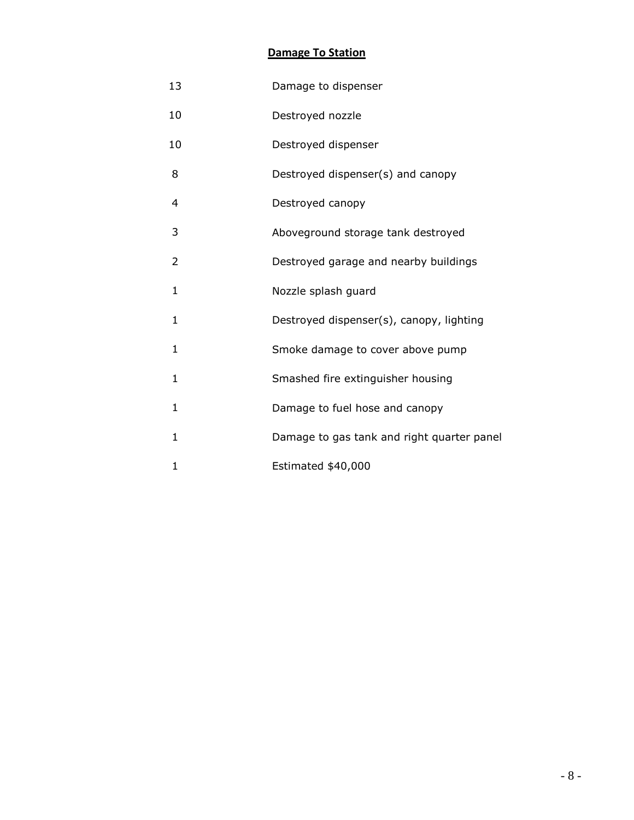# **Damage To Station**

| 13           | Damage to dispenser                        |
|--------------|--------------------------------------------|
| 10           | Destroyed nozzle                           |
| 10           | Destroyed dispenser                        |
| 8            | Destroyed dispenser(s) and canopy          |
| 4            | Destroyed canopy                           |
| 3            | Aboveground storage tank destroyed         |
| 2            | Destroyed garage and nearby buildings      |
| 1            | Nozzle splash guard                        |
| $\mathbf{1}$ | Destroyed dispenser(s), canopy, lighting   |
| 1            | Smoke damage to cover above pump           |
| 1            | Smashed fire extinguisher housing          |
| $\mathbf{1}$ | Damage to fuel hose and canopy             |
| 1            | Damage to gas tank and right quarter panel |
| 1            | Estimated \$40,000                         |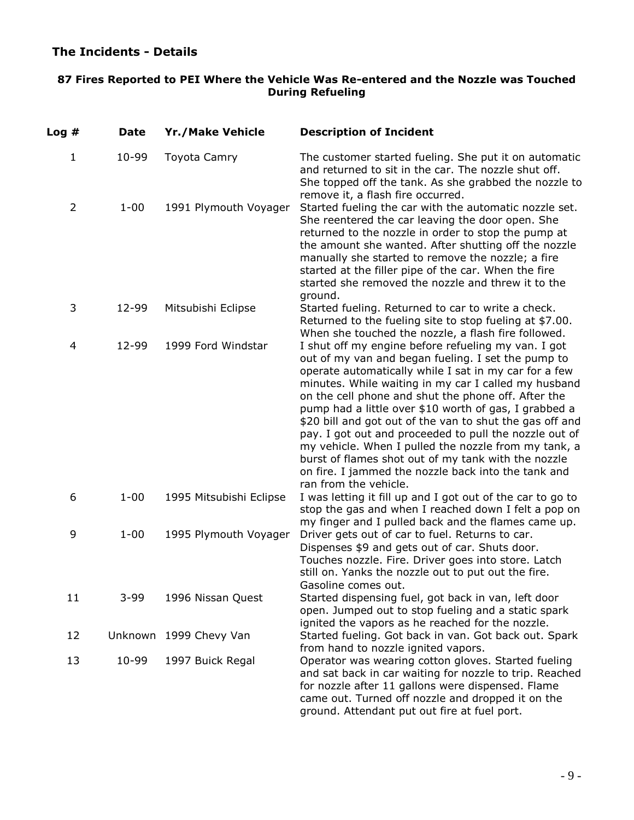# **The Incidents - Details**

## **87 Fires Reported to PEI Where the Vehicle Was Re-entered and the Nozzle was Touched During Refueling**

| Log#           | <b>Date</b> | <b>Yr./Make Vehicle</b> | <b>Description of Incident</b>                                                                                                                                                                                                                                                                                                                                                                                                                                                                                                                                                                                                                                  |
|----------------|-------------|-------------------------|-----------------------------------------------------------------------------------------------------------------------------------------------------------------------------------------------------------------------------------------------------------------------------------------------------------------------------------------------------------------------------------------------------------------------------------------------------------------------------------------------------------------------------------------------------------------------------------------------------------------------------------------------------------------|
| $\mathbf{1}$   | 10-99       | Toyota Camry            | The customer started fueling. She put it on automatic<br>and returned to sit in the car. The nozzle shut off.<br>She topped off the tank. As she grabbed the nozzle to<br>remove it, a flash fire occurred.                                                                                                                                                                                                                                                                                                                                                                                                                                                     |
| $\overline{2}$ | $1 - 00$    | 1991 Plymouth Voyager   | Started fueling the car with the automatic nozzle set.<br>She reentered the car leaving the door open. She<br>returned to the nozzle in order to stop the pump at<br>the amount she wanted. After shutting off the nozzle<br>manually she started to remove the nozzle; a fire<br>started at the filler pipe of the car. When the fire<br>started she removed the nozzle and threw it to the<br>ground.                                                                                                                                                                                                                                                         |
| 3              | 12-99       | Mitsubishi Eclipse      | Started fueling. Returned to car to write a check.<br>Returned to the fueling site to stop fueling at \$7.00.<br>When she touched the nozzle, a flash fire followed.                                                                                                                                                                                                                                                                                                                                                                                                                                                                                            |
| 4              | 12-99       | 1999 Ford Windstar      | I shut off my engine before refueling my van. I got<br>out of my van and began fueling. I set the pump to<br>operate automatically while I sat in my car for a few<br>minutes. While waiting in my car I called my husband<br>on the cell phone and shut the phone off. After the<br>pump had a little over \$10 worth of gas, I grabbed a<br>\$20 bill and got out of the van to shut the gas off and<br>pay. I got out and proceeded to pull the nozzle out of<br>my vehicle. When I pulled the nozzle from my tank, a<br>burst of flames shot out of my tank with the nozzle<br>on fire. I jammed the nozzle back into the tank and<br>ran from the vehicle. |
| 6              | $1 - 00$    | 1995 Mitsubishi Eclipse | I was letting it fill up and I got out of the car to go to<br>stop the gas and when I reached down I felt a pop on<br>my finger and I pulled back and the flames came up.                                                                                                                                                                                                                                                                                                                                                                                                                                                                                       |
| 9              | $1 - 00$    | 1995 Plymouth Voyager   | Driver gets out of car to fuel. Returns to car.<br>Dispenses \$9 and gets out of car. Shuts door.<br>Touches nozzle. Fire. Driver goes into store. Latch<br>still on. Yanks the nozzle out to put out the fire.<br>Gasoline comes out.                                                                                                                                                                                                                                                                                                                                                                                                                          |
| 11             | $3 - 99$    | 1996 Nissan Quest       | Started dispensing fuel, got back in van, left door<br>open. Jumped out to stop fueling and a static spark<br>ignited the vapors as he reached for the nozzle.                                                                                                                                                                                                                                                                                                                                                                                                                                                                                                  |
| 12             |             | Unknown 1999 Chevy Van  | Started fueling. Got back in van. Got back out. Spark<br>from hand to nozzle ignited vapors.                                                                                                                                                                                                                                                                                                                                                                                                                                                                                                                                                                    |
| 13             | 10-99       | 1997 Buick Regal        | Operator was wearing cotton gloves. Started fueling<br>and sat back in car waiting for nozzle to trip. Reached<br>for nozzle after 11 gallons were dispensed. Flame<br>came out. Turned off nozzle and dropped it on the<br>ground. Attendant put out fire at fuel port.                                                                                                                                                                                                                                                                                                                                                                                        |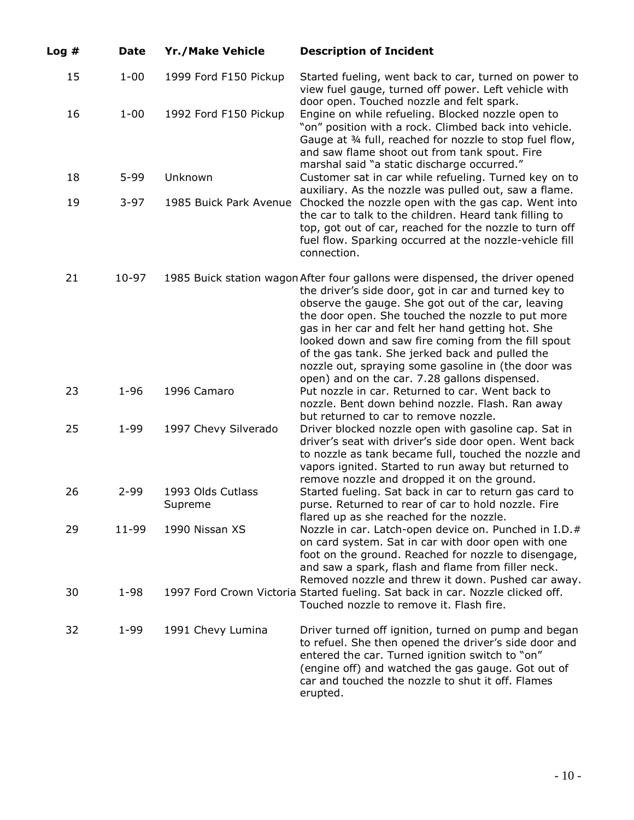| Log# | <b>Date</b> | <b>Yr./Make Vehicle</b>      | <b>Description of Incident</b>                                                                                                                                                                                                                                                                                                                                                                                                                                                                                          |
|------|-------------|------------------------------|-------------------------------------------------------------------------------------------------------------------------------------------------------------------------------------------------------------------------------------------------------------------------------------------------------------------------------------------------------------------------------------------------------------------------------------------------------------------------------------------------------------------------|
| 15   | $1 - 00$    | 1999 Ford F150 Pickup        | Started fueling, went back to car, turned on power to<br>view fuel gauge, turned off power. Left vehicle with<br>door open. Touched nozzle and felt spark.                                                                                                                                                                                                                                                                                                                                                              |
| 16   | $1 - 00$    | 1992 Ford F150 Pickup        | Engine on while refueling. Blocked nozzle open to<br>"on" position with a rock. Climbed back into vehicle.<br>Gauge at 34 full, reached for nozzle to stop fuel flow,<br>and saw flame shoot out from tank spout. Fire<br>marshal said "a static discharge occurred."                                                                                                                                                                                                                                                   |
| 18   | $5 - 99$    | Unknown                      | Customer sat in car while refueling. Turned key on to<br>auxiliary. As the nozzle was pulled out, saw a flame.                                                                                                                                                                                                                                                                                                                                                                                                          |
| 19   | $3-97$      | 1985 Buick Park Avenue       | Chocked the nozzle open with the gas cap. Went into<br>the car to talk to the children. Heard tank filling to<br>top, got out of car, reached for the nozzle to turn off<br>fuel flow. Sparking occurred at the nozzle-vehicle fill<br>connection.                                                                                                                                                                                                                                                                      |
| 21   | $10-97$     |                              | 1985 Buick station wagon After four gallons were dispensed, the driver opened<br>the driver's side door, got in car and turned key to<br>observe the gauge. She got out of the car, leaving<br>the door open. She touched the nozzle to put more<br>gas in her car and felt her hand getting hot. She<br>looked down and saw fire coming from the fill spout<br>of the gas tank. She jerked back and pulled the<br>nozzle out, spraying some gasoline in (the door was<br>open) and on the car. 7.28 gallons dispensed. |
| 23   | $1 - 96$    | 1996 Camaro                  | Put nozzle in car. Returned to car. Went back to<br>nozzle. Bent down behind nozzle. Flash. Ran away<br>but returned to car to remove nozzle.                                                                                                                                                                                                                                                                                                                                                                           |
| 25   | $1 - 99$    | 1997 Chevy Silverado         | Driver blocked nozzle open with gasoline cap. Sat in<br>driver's seat with driver's side door open. Went back<br>to nozzle as tank became full, touched the nozzle and<br>vapors ignited. Started to run away but returned to<br>remove nozzle and dropped it on the ground.                                                                                                                                                                                                                                            |
| 26   | $2 - 99$    | 1993 Olds Cutlass<br>Supreme | Started fueling. Sat back in car to return gas card to<br>purse. Returned to rear of car to hold nozzle. Fire<br>flared up as she reached for the nozzle.                                                                                                                                                                                                                                                                                                                                                               |
| 29   | $11-99$     | 1990 Nissan XS               | Nozzle in car. Latch-open device on. Punched in I.D.#<br>on card system. Sat in car with door open with one<br>foot on the ground. Reached for nozzle to disengage,<br>and saw a spark, flash and flame from filler neck.<br>Removed nozzle and threw it down. Pushed car away.                                                                                                                                                                                                                                         |
| 30   | $1 - 98$    |                              | 1997 Ford Crown Victoria Started fueling. Sat back in car. Nozzle clicked off.<br>Touched nozzle to remove it. Flash fire.                                                                                                                                                                                                                                                                                                                                                                                              |
| 32   | $1 - 99$    | 1991 Chevy Lumina            | Driver turned off ignition, turned on pump and began<br>to refuel. She then opened the driver's side door and<br>entered the car. Turned ignition switch to "on"<br>(engine off) and watched the gas gauge. Got out of<br>car and touched the nozzle to shut it off. Flames<br>erupted.                                                                                                                                                                                                                                 |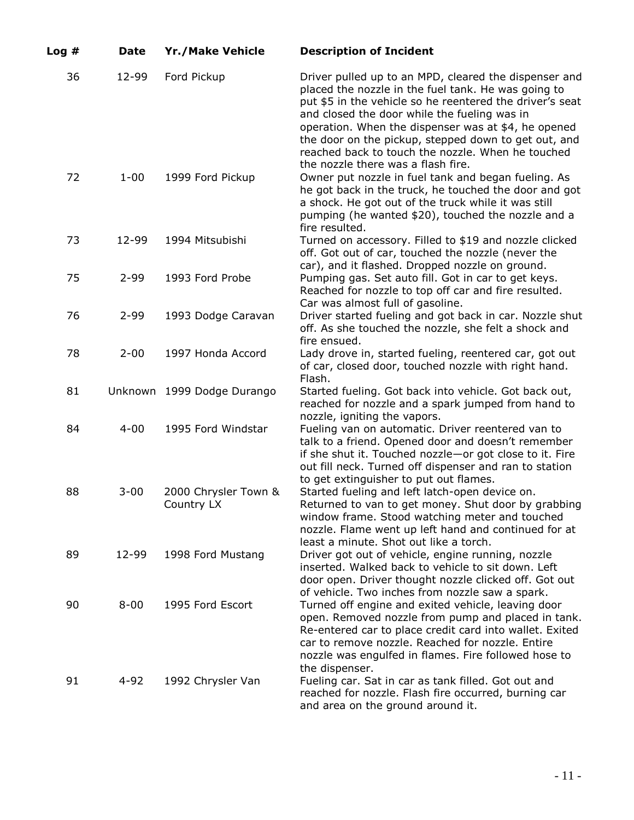| Log# | <b>Date</b> | <b>Yr./Make Vehicle</b>            | <b>Description of Incident</b>                                                                                                                                                                                                                                                                                                                                                                                                     |
|------|-------------|------------------------------------|------------------------------------------------------------------------------------------------------------------------------------------------------------------------------------------------------------------------------------------------------------------------------------------------------------------------------------------------------------------------------------------------------------------------------------|
| 36   | 12-99       | Ford Pickup                        | Driver pulled up to an MPD, cleared the dispenser and<br>placed the nozzle in the fuel tank. He was going to<br>put \$5 in the vehicle so he reentered the driver's seat<br>and closed the door while the fueling was in<br>operation. When the dispenser was at \$4, he opened<br>the door on the pickup, stepped down to get out, and<br>reached back to touch the nozzle. When he touched<br>the nozzle there was a flash fire. |
| 72   | $1 - 00$    | 1999 Ford Pickup                   | Owner put nozzle in fuel tank and began fueling. As<br>he got back in the truck, he touched the door and got<br>a shock. He got out of the truck while it was still<br>pumping (he wanted \$20), touched the nozzle and a<br>fire resulted.                                                                                                                                                                                        |
| 73   | 12-99       | 1994 Mitsubishi                    | Turned on accessory. Filled to \$19 and nozzle clicked<br>off. Got out of car, touched the nozzle (never the<br>car), and it flashed. Dropped nozzle on ground.                                                                                                                                                                                                                                                                    |
| 75   | $2 - 99$    | 1993 Ford Probe                    | Pumping gas. Set auto fill. Got in car to get keys.<br>Reached for nozzle to top off car and fire resulted.<br>Car was almost full of gasoline.                                                                                                                                                                                                                                                                                    |
| 76   | $2 - 99$    | 1993 Dodge Caravan                 | Driver started fueling and got back in car. Nozzle shut<br>off. As she touched the nozzle, she felt a shock and<br>fire ensued.                                                                                                                                                                                                                                                                                                    |
| 78   | $2 - 00$    | 1997 Honda Accord                  | Lady drove in, started fueling, reentered car, got out<br>of car, closed door, touched nozzle with right hand.<br>Flash.                                                                                                                                                                                                                                                                                                           |
| 81   |             | Unknown 1999 Dodge Durango         | Started fueling. Got back into vehicle. Got back out,<br>reached for nozzle and a spark jumped from hand to<br>nozzle, igniting the vapors.                                                                                                                                                                                                                                                                                        |
| 84   | $4 - 00$    | 1995 Ford Windstar                 | Fueling van on automatic. Driver reentered van to<br>talk to a friend. Opened door and doesn't remember<br>if she shut it. Touched nozzle-or got close to it. Fire<br>out fill neck. Turned off dispenser and ran to station<br>to get extinguisher to put out flames.                                                                                                                                                             |
| 88   | $3 - 00$    | 2000 Chrysler Town &<br>Country LX | Started fueling and left latch-open device on.<br>Returned to van to get money. Shut door by grabbing<br>window frame. Stood watching meter and touched<br>nozzle. Flame went up left hand and continued for at<br>least a minute. Shot out like a torch.                                                                                                                                                                          |
| 89   | 12-99       | 1998 Ford Mustang                  | Driver got out of vehicle, engine running, nozzle<br>inserted. Walked back to vehicle to sit down. Left<br>door open. Driver thought nozzle clicked off. Got out<br>of vehicle. Two inches from nozzle saw a spark.                                                                                                                                                                                                                |
| 90   | $8 - 00$    | 1995 Ford Escort                   | Turned off engine and exited vehicle, leaving door<br>open. Removed nozzle from pump and placed in tank.<br>Re-entered car to place credit card into wallet. Exited<br>car to remove nozzle. Reached for nozzle. Entire<br>nozzle was engulfed in flames. Fire followed hose to<br>the dispenser.                                                                                                                                  |
| 91   | 4-92        | 1992 Chrysler Van                  | Fueling car. Sat in car as tank filled. Got out and<br>reached for nozzle. Flash fire occurred, burning car<br>and area on the ground around it.                                                                                                                                                                                                                                                                                   |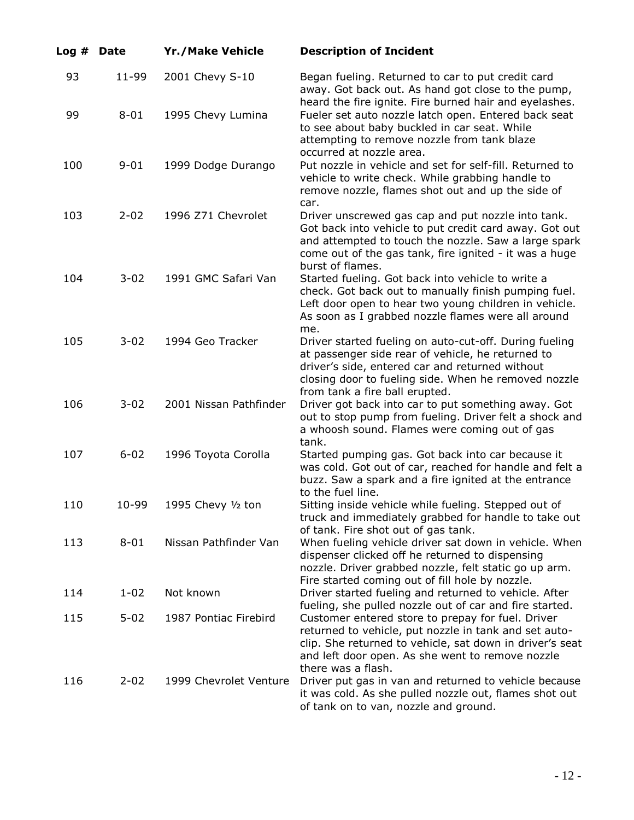| Log# | <b>Date</b> | <b>Yr./Make Vehicle</b> | <b>Description of Incident</b>                                                                                                                                                                                                                   |
|------|-------------|-------------------------|--------------------------------------------------------------------------------------------------------------------------------------------------------------------------------------------------------------------------------------------------|
| 93   | 11-99       | 2001 Chevy S-10         | Began fueling. Returned to car to put credit card<br>away. Got back out. As hand got close to the pump,<br>heard the fire ignite. Fire burned hair and eyelashes.                                                                                |
| 99   | $8 - 01$    | 1995 Chevy Lumina       | Fueler set auto nozzle latch open. Entered back seat<br>to see about baby buckled in car seat. While<br>attempting to remove nozzle from tank blaze<br>occurred at nozzle area.                                                                  |
| 100  | $9 - 01$    | 1999 Dodge Durango      | Put nozzle in vehicle and set for self-fill. Returned to<br>vehicle to write check. While grabbing handle to<br>remove nozzle, flames shot out and up the side of<br>car.                                                                        |
| 103  | $2 - 02$    | 1996 Z71 Chevrolet      | Driver unscrewed gas cap and put nozzle into tank.<br>Got back into vehicle to put credit card away. Got out<br>and attempted to touch the nozzle. Saw a large spark<br>come out of the gas tank, fire ignited - it was a huge                   |
| 104  | $3 - 02$    | 1991 GMC Safari Van     | burst of flames.<br>Started fueling. Got back into vehicle to write a<br>check. Got back out to manually finish pumping fuel.<br>Left door open to hear two young children in vehicle.<br>As soon as I grabbed nozzle flames were all around     |
| 105  | $3 - 02$    | 1994 Geo Tracker        | me.<br>Driver started fueling on auto-cut-off. During fueling<br>at passenger side rear of vehicle, he returned to<br>driver's side, entered car and returned without<br>closing door to fueling side. When he removed nozzle                    |
| 106  | $3 - 02$    | 2001 Nissan Pathfinder  | from tank a fire ball erupted.<br>Driver got back into car to put something away. Got<br>out to stop pump from fueling. Driver felt a shock and<br>a whoosh sound. Flames were coming out of gas<br>tank.                                        |
| 107  | $6 - 02$    | 1996 Toyota Corolla     | Started pumping gas. Got back into car because it<br>was cold. Got out of car, reached for handle and felt a<br>buzz. Saw a spark and a fire ignited at the entrance<br>to the fuel line.                                                        |
| 110  | 10-99       | 1995 Chevy 1/2 ton      | Sitting inside vehicle while fueling. Stepped out of<br>truck and immediately grabbed for handle to take out<br>of tank. Fire shot out of gas tank.                                                                                              |
| 113  | $8 - 01$    | Nissan Pathfinder Van   | When fueling vehicle driver sat down in vehicle. When<br>dispenser clicked off he returned to dispensing<br>nozzle. Driver grabbed nozzle, felt static go up arm.<br>Fire started coming out of fill hole by nozzle.                             |
| 114  | $1 - 02$    | Not known               | Driver started fueling and returned to vehicle. After<br>fueling, she pulled nozzle out of car and fire started.                                                                                                                                 |
| 115  | $5 - 02$    | 1987 Pontiac Firebird   | Customer entered store to prepay for fuel. Driver<br>returned to vehicle, put nozzle in tank and set auto-<br>clip. She returned to vehicle, sat down in driver's seat<br>and left door open. As she went to remove nozzle<br>there was a flash. |
| 116  | $2 - 02$    | 1999 Chevrolet Venture  | Driver put gas in van and returned to vehicle because<br>it was cold. As she pulled nozzle out, flames shot out<br>of tank on to van, nozzle and ground.                                                                                         |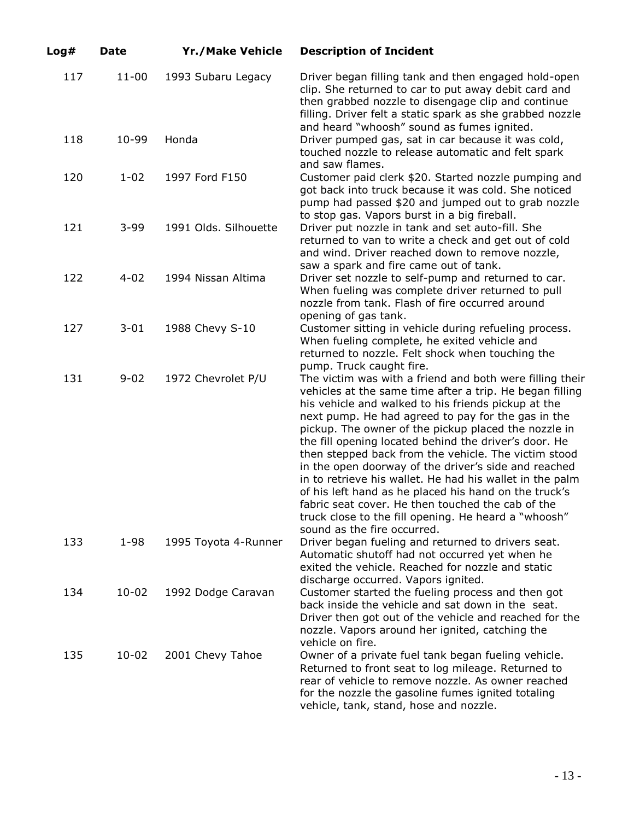| Log# | <b>Date</b> | <b>Yr./Make Vehicle</b> | <b>Description of Incident</b>                                                                                                                                                                                                                                                                                                                                                                                                                                                                                                                                                                                                                                                                                                      |
|------|-------------|-------------------------|-------------------------------------------------------------------------------------------------------------------------------------------------------------------------------------------------------------------------------------------------------------------------------------------------------------------------------------------------------------------------------------------------------------------------------------------------------------------------------------------------------------------------------------------------------------------------------------------------------------------------------------------------------------------------------------------------------------------------------------|
| 117  | $11 - 00$   | 1993 Subaru Legacy      | Driver began filling tank and then engaged hold-open<br>clip. She returned to car to put away debit card and<br>then grabbed nozzle to disengage clip and continue<br>filling. Driver felt a static spark as she grabbed nozzle                                                                                                                                                                                                                                                                                                                                                                                                                                                                                                     |
| 118  | 10-99       | Honda                   | and heard "whoosh" sound as fumes ignited.<br>Driver pumped gas, sat in car because it was cold,<br>touched nozzle to release automatic and felt spark<br>and saw flames.                                                                                                                                                                                                                                                                                                                                                                                                                                                                                                                                                           |
| 120  | $1 - 02$    | 1997 Ford F150          | Customer paid clerk \$20. Started nozzle pumping and<br>got back into truck because it was cold. She noticed<br>pump had passed \$20 and jumped out to grab nozzle<br>to stop gas. Vapors burst in a big fireball.                                                                                                                                                                                                                                                                                                                                                                                                                                                                                                                  |
| 121  | $3 - 99$    | 1991 Olds. Silhouette   | Driver put nozzle in tank and set auto-fill. She<br>returned to van to write a check and get out of cold<br>and wind. Driver reached down to remove nozzle,<br>saw a spark and fire came out of tank.                                                                                                                                                                                                                                                                                                                                                                                                                                                                                                                               |
| 122  | $4 - 02$    | 1994 Nissan Altima      | Driver set nozzle to self-pump and returned to car.<br>When fueling was complete driver returned to pull<br>nozzle from tank. Flash of fire occurred around<br>opening of gas tank.                                                                                                                                                                                                                                                                                                                                                                                                                                                                                                                                                 |
| 127  | $3 - 01$    | 1988 Chevy S-10         | Customer sitting in vehicle during refueling process.<br>When fueling complete, he exited vehicle and<br>returned to nozzle. Felt shock when touching the<br>pump. Truck caught fire.                                                                                                                                                                                                                                                                                                                                                                                                                                                                                                                                               |
| 131  | $9 - 02$    | 1972 Chevrolet P/U      | The victim was with a friend and both were filling their<br>vehicles at the same time after a trip. He began filling<br>his vehicle and walked to his friends pickup at the<br>next pump. He had agreed to pay for the gas in the<br>pickup. The owner of the pickup placed the nozzle in<br>the fill opening located behind the driver's door. He<br>then stepped back from the vehicle. The victim stood<br>in the open doorway of the driver's side and reached<br>in to retrieve his wallet. He had his wallet in the palm<br>of his left hand as he placed his hand on the truck's<br>fabric seat cover. He then touched the cab of the<br>truck close to the fill opening. He heard a "whoosh"<br>sound as the fire occurred. |
| 133  | $1 - 98$    | 1995 Toyota 4-Runner    | Driver began fueling and returned to drivers seat.<br>Automatic shutoff had not occurred yet when he<br>exited the vehicle. Reached for nozzle and static<br>discharge occurred. Vapors ignited.                                                                                                                                                                                                                                                                                                                                                                                                                                                                                                                                    |
| 134  | 10-02       | 1992 Dodge Caravan      | Customer started the fueling process and then got<br>back inside the vehicle and sat down in the seat.<br>Driver then got out of the vehicle and reached for the<br>nozzle. Vapors around her ignited, catching the<br>vehicle on fire.                                                                                                                                                                                                                                                                                                                                                                                                                                                                                             |
| 135  | 10-02       | 2001 Chevy Tahoe        | Owner of a private fuel tank began fueling vehicle.<br>Returned to front seat to log mileage. Returned to<br>rear of vehicle to remove nozzle. As owner reached<br>for the nozzle the gasoline fumes ignited totaling<br>vehicle, tank, stand, hose and nozzle.                                                                                                                                                                                                                                                                                                                                                                                                                                                                     |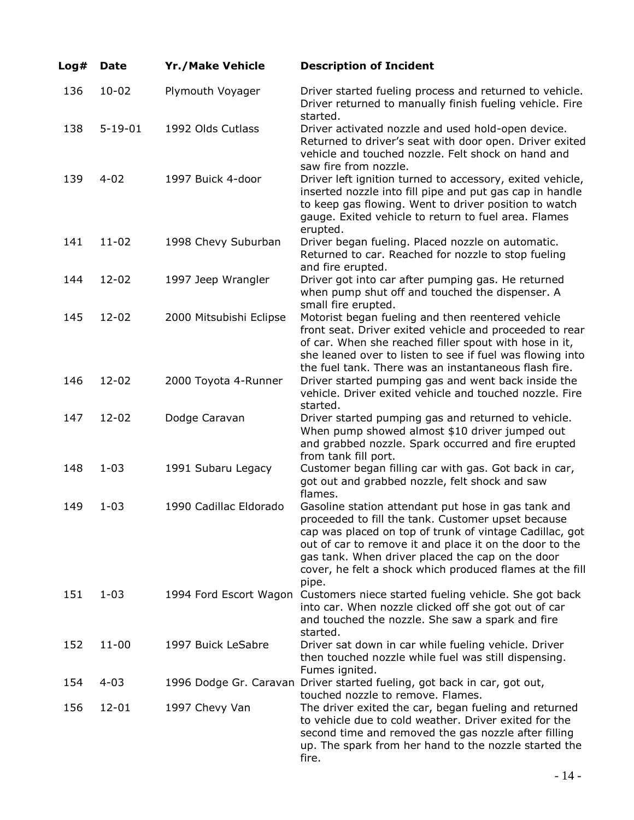| Log# | <b>Date</b>   | <b>Yr./Make Vehicle</b> | <b>Description of Incident</b>                                                                                                                                                                                                                                                                                                                           |
|------|---------------|-------------------------|----------------------------------------------------------------------------------------------------------------------------------------------------------------------------------------------------------------------------------------------------------------------------------------------------------------------------------------------------------|
| 136  | $10 - 02$     | Plymouth Voyager        | Driver started fueling process and returned to vehicle.<br>Driver returned to manually finish fueling vehicle. Fire<br>started.                                                                                                                                                                                                                          |
| 138  | $5 - 19 - 01$ | 1992 Olds Cutlass       | Driver activated nozzle and used hold-open device.<br>Returned to driver's seat with door open. Driver exited<br>vehicle and touched nozzle. Felt shock on hand and<br>saw fire from nozzle.                                                                                                                                                             |
| 139  | $4 - 02$      | 1997 Buick 4-door       | Driver left ignition turned to accessory, exited vehicle,<br>inserted nozzle into fill pipe and put gas cap in handle<br>to keep gas flowing. Went to driver position to watch<br>gauge. Exited vehicle to return to fuel area. Flames<br>erupted.                                                                                                       |
| 141  | $11 - 02$     | 1998 Chevy Suburban     | Driver began fueling. Placed nozzle on automatic.<br>Returned to car. Reached for nozzle to stop fueling<br>and fire erupted.                                                                                                                                                                                                                            |
| 144  | $12 - 02$     | 1997 Jeep Wrangler      | Driver got into car after pumping gas. He returned<br>when pump shut off and touched the dispenser. A<br>small fire erupted.                                                                                                                                                                                                                             |
| 145  | $12 - 02$     | 2000 Mitsubishi Eclipse | Motorist began fueling and then reentered vehicle<br>front seat. Driver exited vehicle and proceeded to rear<br>of car. When she reached filler spout with hose in it,<br>she leaned over to listen to see if fuel was flowing into<br>the fuel tank. There was an instantaneous flash fire.                                                             |
| 146  | $12 - 02$     | 2000 Toyota 4-Runner    | Driver started pumping gas and went back inside the<br>vehicle. Driver exited vehicle and touched nozzle. Fire<br>started.                                                                                                                                                                                                                               |
| 147  | $12 - 02$     | Dodge Caravan           | Driver started pumping gas and returned to vehicle.<br>When pump showed almost \$10 driver jumped out<br>and grabbed nozzle. Spark occurred and fire erupted<br>from tank fill port.                                                                                                                                                                     |
| 148  | $1 - 03$      | 1991 Subaru Legacy      | Customer began filling car with gas. Got back in car,<br>got out and grabbed nozzle, felt shock and saw<br>flames.                                                                                                                                                                                                                                       |
| 149  | $1 - 03$      | 1990 Cadillac Eldorado  | Gasoline station attendant put hose in gas tank and<br>proceeded to fill the tank. Customer upset because<br>cap was placed on top of trunk of vintage Cadillac, got<br>out of car to remove it and place it on the door to the<br>gas tank. When driver placed the cap on the door<br>cover, he felt a shock which produced flames at the fill<br>pipe. |
| 151  | $1 - 03$      |                         | 1994 Ford Escort Wagon Customers niece started fueling vehicle. She got back<br>into car. When nozzle clicked off she got out of car<br>and touched the nozzle. She saw a spark and fire<br>started.                                                                                                                                                     |
| 152  | $11 - 00$     | 1997 Buick LeSabre      | Driver sat down in car while fueling vehicle. Driver<br>then touched nozzle while fuel was still dispensing.<br>Fumes ignited.                                                                                                                                                                                                                           |
| 154  | $4 - 03$      |                         | 1996 Dodge Gr. Caravan Driver started fueling, got back in car, got out,<br>touched nozzle to remove. Flames.                                                                                                                                                                                                                                            |
| 156  | $12 - 01$     | 1997 Chevy Van          | The driver exited the car, began fueling and returned<br>to vehicle due to cold weather. Driver exited for the<br>second time and removed the gas nozzle after filling<br>up. The spark from her hand to the nozzle started the<br>fire.                                                                                                                 |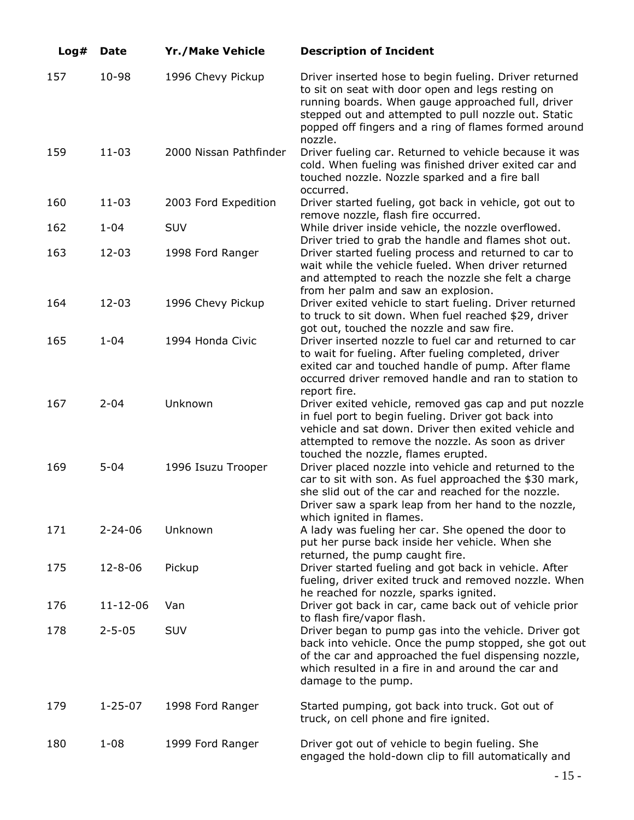| Log# | <b>Date</b>   | <b>Yr./Make Vehicle</b> | <b>Description of Incident</b>                                                                                                                                                                                                                                                                |
|------|---------------|-------------------------|-----------------------------------------------------------------------------------------------------------------------------------------------------------------------------------------------------------------------------------------------------------------------------------------------|
| 157  | 10-98         | 1996 Chevy Pickup       | Driver inserted hose to begin fueling. Driver returned<br>to sit on seat with door open and legs resting on<br>running boards. When gauge approached full, driver<br>stepped out and attempted to pull nozzle out. Static<br>popped off fingers and a ring of flames formed around<br>nozzle. |
| 159  | $11 - 03$     | 2000 Nissan Pathfinder  | Driver fueling car. Returned to vehicle because it was<br>cold. When fueling was finished driver exited car and<br>touched nozzle. Nozzle sparked and a fire ball<br>occurred.                                                                                                                |
| 160  | $11 - 03$     | 2003 Ford Expedition    | Driver started fueling, got back in vehicle, got out to<br>remove nozzle, flash fire occurred.                                                                                                                                                                                                |
| 162  | $1 - 04$      | SUV                     | While driver inside vehicle, the nozzle overflowed.                                                                                                                                                                                                                                           |
| 163  | $12 - 03$     | 1998 Ford Ranger        | Driver tried to grab the handle and flames shot out.<br>Driver started fueling process and returned to car to<br>wait while the vehicle fueled. When driver returned<br>and attempted to reach the nozzle she felt a charge<br>from her palm and saw an explosion.                            |
| 164  | $12 - 03$     | 1996 Chevy Pickup       | Driver exited vehicle to start fueling. Driver returned<br>to truck to sit down. When fuel reached \$29, driver<br>got out, touched the nozzle and saw fire.                                                                                                                                  |
| 165  | $1 - 04$      | 1994 Honda Civic        | Driver inserted nozzle to fuel car and returned to car<br>to wait for fueling. After fueling completed, driver<br>exited car and touched handle of pump. After flame<br>occurred driver removed handle and ran to station to<br>report fire.                                                  |
| 167  | $2 - 04$      | Unknown                 | Driver exited vehicle, removed gas cap and put nozzle<br>in fuel port to begin fueling. Driver got back into<br>vehicle and sat down. Driver then exited vehicle and<br>attempted to remove the nozzle. As soon as driver<br>touched the nozzle, flames erupted.                              |
| 169  | $5 - 04$      | 1996 Isuzu Trooper      | Driver placed nozzle into vehicle and returned to the<br>car to sit with son. As fuel approached the \$30 mark,<br>she slid out of the car and reached for the nozzle.<br>Driver saw a spark leap from her hand to the nozzle,<br>which ignited in flames.                                    |
| 171  | $2 - 24 - 06$ | Unknown                 | A lady was fueling her car. She opened the door to<br>put her purse back inside her vehicle. When she<br>returned, the pump caught fire.                                                                                                                                                      |
| 175  | $12 - 8 - 06$ | Pickup                  | Driver started fueling and got back in vehicle. After<br>fueling, driver exited truck and removed nozzle. When<br>he reached for nozzle, sparks ignited.                                                                                                                                      |
| 176  | 11-12-06      | Van                     | Driver got back in car, came back out of vehicle prior<br>to flash fire/vapor flash.                                                                                                                                                                                                          |
| 178  | $2 - 5 - 05$  | <b>SUV</b>              | Driver began to pump gas into the vehicle. Driver got<br>back into vehicle. Once the pump stopped, she got out<br>of the car and approached the fuel dispensing nozzle,<br>which resulted in a fire in and around the car and<br>damage to the pump.                                          |
| 179  | $1 - 25 - 07$ | 1998 Ford Ranger        | Started pumping, got back into truck. Got out of<br>truck, on cell phone and fire ignited.                                                                                                                                                                                                    |
| 180  | $1 - 08$      | 1999 Ford Ranger        | Driver got out of vehicle to begin fueling. She<br>engaged the hold-down clip to fill automatically and                                                                                                                                                                                       |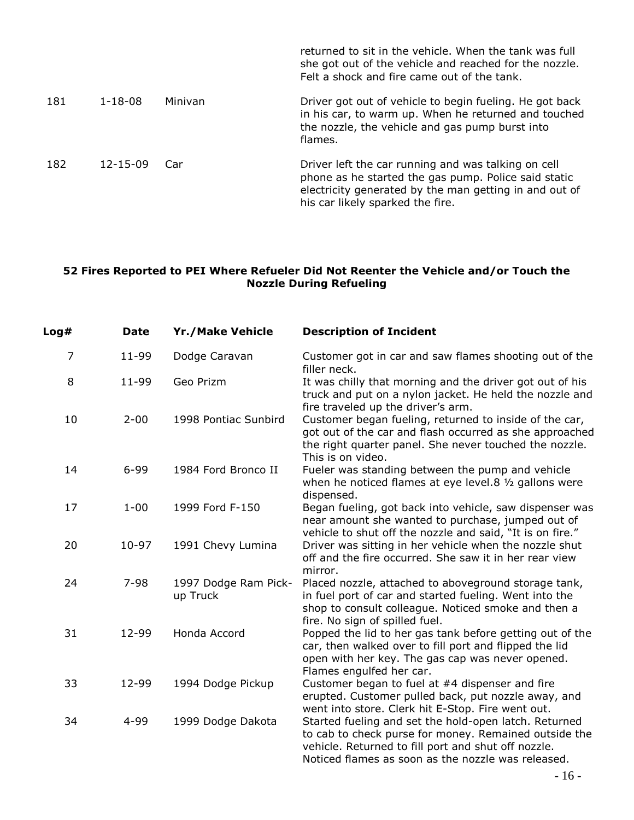|     |                |         | returned to sit in the vehicle. When the tank was full<br>she got out of the vehicle and reached for the nozzle.<br>Felt a shock and fire came out of the tank.                                           |
|-----|----------------|---------|-----------------------------------------------------------------------------------------------------------------------------------------------------------------------------------------------------------|
| 181 | $1 - 18 - 08$  | Minivan | Driver got out of vehicle to begin fueling. He got back<br>in his car, to warm up. When he returned and touched<br>the nozzle, the vehicle and gas pump burst into<br>flames.                             |
| 182 | $12 - 15 - 09$ | Car     | Driver left the car running and was talking on cell<br>phone as he started the gas pump. Police said static<br>electricity generated by the man getting in and out of<br>his car likely sparked the fire. |

### **52 Fires Reported to PEI Where Refueler Did Not Reenter the Vehicle and/or Touch the Nozzle During Refueling**

| Log# | <b>Date</b> | <b>Yr./Make Vehicle</b>          | <b>Description of Incident</b>                                                                                                                                                                                              |
|------|-------------|----------------------------------|-----------------------------------------------------------------------------------------------------------------------------------------------------------------------------------------------------------------------------|
| 7    | 11-99       | Dodge Caravan                    | Customer got in car and saw flames shooting out of the<br>filler neck.                                                                                                                                                      |
| 8    | $11 - 99$   | Geo Prizm                        | It was chilly that morning and the driver got out of his<br>truck and put on a nylon jacket. He held the nozzle and<br>fire traveled up the driver's arm.                                                                   |
| 10   | $2 - 00$    | 1998 Pontiac Sunbird             | Customer began fueling, returned to inside of the car,<br>got out of the car and flash occurred as she approached<br>the right quarter panel. She never touched the nozzle.<br>This is on video.                            |
| 14   | $6 - 99$    | 1984 Ford Bronco II              | Fueler was standing between the pump and vehicle<br>when he noticed flames at eye level.8 1/2 gallons were<br>dispensed.                                                                                                    |
| 17   | $1 - 00$    | 1999 Ford F-150                  | Began fueling, got back into vehicle, saw dispenser was<br>near amount she wanted to purchase, jumped out of<br>vehicle to shut off the nozzle and said, "It is on fire."                                                   |
| 20   | 10-97       | 1991 Chevy Lumina                | Driver was sitting in her vehicle when the nozzle shut<br>off and the fire occurred. She saw it in her rear view<br>mirror.                                                                                                 |
| 24   | $7 - 98$    | 1997 Dodge Ram Pick-<br>up Truck | Placed nozzle, attached to aboveground storage tank,<br>in fuel port of car and started fueling. Went into the<br>shop to consult colleague. Noticed smoke and then a<br>fire. No sign of spilled fuel.                     |
| 31   | 12-99       | Honda Accord                     | Popped the lid to her gas tank before getting out of the<br>car, then walked over to fill port and flipped the lid<br>open with her key. The gas cap was never opened.<br>Flames engulfed her car.                          |
| 33   | 12-99       | 1994 Dodge Pickup                | Customer began to fuel at #4 dispenser and fire<br>erupted. Customer pulled back, put nozzle away, and<br>went into store. Clerk hit E-Stop. Fire went out.                                                                 |
| 34   | 4-99        | 1999 Dodge Dakota                | Started fueling and set the hold-open latch. Returned<br>to cab to check purse for money. Remained outside the<br>vehicle. Returned to fill port and shut off nozzle.<br>Noticed flames as soon as the nozzle was released. |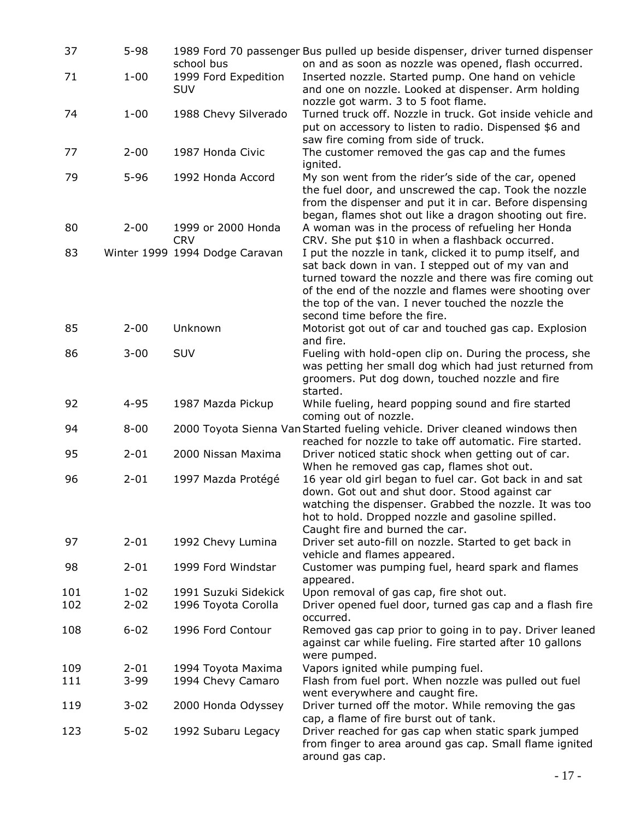| 37         | $5 - 98$             | school bus                                  | 1989 Ford 70 passenger Bus pulled up beside dispenser, driver turned dispenser<br>on and as soon as nozzle was opened, flash occurred.                                                                                                                                                                                  |
|------------|----------------------|---------------------------------------------|-------------------------------------------------------------------------------------------------------------------------------------------------------------------------------------------------------------------------------------------------------------------------------------------------------------------------|
| 71         | $1 - 00$             | 1999 Ford Expedition<br><b>SUV</b>          | Inserted nozzle. Started pump. One hand on vehicle<br>and one on nozzle. Looked at dispenser. Arm holding<br>nozzle got warm. 3 to 5 foot flame.                                                                                                                                                                        |
| 74         | $1 - 00$             | 1988 Chevy Silverado                        | Turned truck off. Nozzle in truck. Got inside vehicle and<br>put on accessory to listen to radio. Dispensed \$6 and<br>saw fire coming from side of truck.                                                                                                                                                              |
| 77         | $2 - 00$             | 1987 Honda Civic                            | The customer removed the gas cap and the fumes<br>ignited.                                                                                                                                                                                                                                                              |
| 79         | $5 - 96$             | 1992 Honda Accord                           | My son went from the rider's side of the car, opened<br>the fuel door, and unscrewed the cap. Took the nozzle<br>from the dispenser and put it in car. Before dispensing<br>began, flames shot out like a dragon shooting out fire.                                                                                     |
| 80         | $2 - 00$             | 1999 or 2000 Honda<br><b>CRV</b>            | A woman was in the process of refueling her Honda<br>CRV. She put \$10 in when a flashback occurred.                                                                                                                                                                                                                    |
| 83         |                      | Winter 1999 1994 Dodge Caravan              | I put the nozzle in tank, clicked it to pump itself, and<br>sat back down in van. I stepped out of my van and<br>turned toward the nozzle and there was fire coming out<br>of the end of the nozzle and flames were shooting over<br>the top of the van. I never touched the nozzle the<br>second time before the fire. |
| 85         | $2 - 00$             | Unknown                                     | Motorist got out of car and touched gas cap. Explosion<br>and fire.                                                                                                                                                                                                                                                     |
| 86         | $3 - 00$             | SUV                                         | Fueling with hold-open clip on. During the process, she<br>was petting her small dog which had just returned from<br>groomers. Put dog down, touched nozzle and fire<br>started.                                                                                                                                        |
| 92         | $4 - 95$             | 1987 Mazda Pickup                           | While fueling, heard popping sound and fire started<br>coming out of nozzle.                                                                                                                                                                                                                                            |
| 94         | $8 - 00$             |                                             | 2000 Toyota Sienna Van Started fueling vehicle. Driver cleaned windows then<br>reached for nozzle to take off automatic. Fire started.                                                                                                                                                                                  |
| 95         | $2 - 01$             | 2000 Nissan Maxima                          | Driver noticed static shock when getting out of car.<br>When he removed gas cap, flames shot out.                                                                                                                                                                                                                       |
| 96         | $2 - 01$             | 1997 Mazda Protégé                          | 16 year old girl began to fuel car. Got back in and sat<br>down. Got out and shut door. Stood against car<br>watching the dispenser. Grabbed the nozzle. It was too<br>hot to hold. Dropped nozzle and gasoline spilled.<br>Caught fire and burned the car.                                                             |
| 97         | $2 - 01$             | 1992 Chevy Lumina                           | Driver set auto-fill on nozzle. Started to get back in<br>vehicle and flames appeared.                                                                                                                                                                                                                                  |
| 98         | $2 - 01$             | 1999 Ford Windstar                          | Customer was pumping fuel, heard spark and flames<br>appeared.                                                                                                                                                                                                                                                          |
| 101<br>102 | $1 - 02$<br>$2 - 02$ | 1991 Suzuki Sidekick<br>1996 Toyota Corolla | Upon removal of gas cap, fire shot out.<br>Driver opened fuel door, turned gas cap and a flash fire<br>occurred.                                                                                                                                                                                                        |
| 108        | $6 - 02$             | 1996 Ford Contour                           | Removed gas cap prior to going in to pay. Driver leaned<br>against car while fueling. Fire started after 10 gallons<br>were pumped.                                                                                                                                                                                     |
| 109<br>111 | $2 - 01$<br>$3 - 99$ | 1994 Toyota Maxima<br>1994 Chevy Camaro     | Vapors ignited while pumping fuel.<br>Flash from fuel port. When nozzle was pulled out fuel<br>went everywhere and caught fire.                                                                                                                                                                                         |
| 119        | $3 - 02$             | 2000 Honda Odyssey                          | Driver turned off the motor. While removing the gas<br>cap, a flame of fire burst out of tank.                                                                                                                                                                                                                          |
| 123        | $5 - 02$             | 1992 Subaru Legacy                          | Driver reached for gas cap when static spark jumped<br>from finger to area around gas cap. Small flame ignited<br>around gas cap.                                                                                                                                                                                       |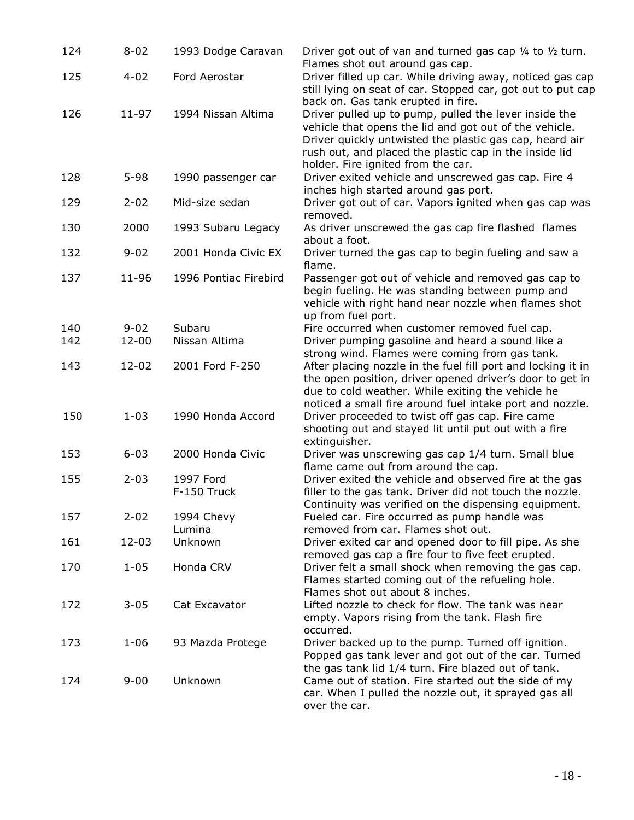| 124        | $8 - 02$              | 1993 Dodge Caravan       | Driver got out of van and turned gas cap $\frac{1}{4}$ to $\frac{1}{2}$ turn.<br>Flames shot out around gas cap.                                                                                                                                                                            |
|------------|-----------------------|--------------------------|---------------------------------------------------------------------------------------------------------------------------------------------------------------------------------------------------------------------------------------------------------------------------------------------|
| 125        | $4 - 02$              | Ford Aerostar            | Driver filled up car. While driving away, noticed gas cap<br>still lying on seat of car. Stopped car, got out to put cap<br>back on. Gas tank erupted in fire.                                                                                                                              |
| 126        | $11 - 97$             | 1994 Nissan Altima       | Driver pulled up to pump, pulled the lever inside the<br>vehicle that opens the lid and got out of the vehicle.<br>Driver quickly untwisted the plastic gas cap, heard air<br>rush out, and placed the plastic cap in the inside lid<br>holder. Fire ignited from the car.                  |
| 128        | $5 - 98$              | 1990 passenger car       | Driver exited vehicle and unscrewed gas cap. Fire 4<br>inches high started around gas port.                                                                                                                                                                                                 |
| 129        | $2 - 02$              | Mid-size sedan           | Driver got out of car. Vapors ignited when gas cap was<br>removed.                                                                                                                                                                                                                          |
| 130        | 2000                  | 1993 Subaru Legacy       | As driver unscrewed the gas cap fire flashed flames<br>about a foot.                                                                                                                                                                                                                        |
| 132        | $9 - 02$              | 2001 Honda Civic EX      | Driver turned the gas cap to begin fueling and saw a<br>flame.                                                                                                                                                                                                                              |
| 137        | 11-96                 | 1996 Pontiac Firebird    | Passenger got out of vehicle and removed gas cap to<br>begin fueling. He was standing between pump and<br>vehicle with right hand near nozzle when flames shot<br>up from fuel port.                                                                                                        |
| 140<br>142 | $9 - 02$<br>$12 - 00$ | Subaru<br>Nissan Altima  | Fire occurred when customer removed fuel cap.<br>Driver pumping gasoline and heard a sound like a                                                                                                                                                                                           |
| 143        | $12 - 02$             | 2001 Ford F-250          | strong wind. Flames were coming from gas tank.<br>After placing nozzle in the fuel fill port and locking it in<br>the open position, driver opened driver's door to get in<br>due to cold weather. While exiting the vehicle he<br>noticed a small fire around fuel intake port and nozzle. |
| 150        | $1 - 03$              | 1990 Honda Accord        | Driver proceeded to twist off gas cap. Fire came<br>shooting out and stayed lit until put out with a fire<br>extinguisher.                                                                                                                                                                  |
| 153        | $6 - 03$              | 2000 Honda Civic         | Driver was unscrewing gas cap 1/4 turn. Small blue<br>flame came out from around the cap.                                                                                                                                                                                                   |
| 155        | $2 - 03$              | 1997 Ford<br>F-150 Truck | Driver exited the vehicle and observed fire at the gas<br>filler to the gas tank. Driver did not touch the nozzle.<br>Continuity was verified on the dispensing equipment.                                                                                                                  |
| 157        | $2 - 02$              | 1994 Chevy<br>Lumina     | Fueled car. Fire occurred as pump handle was<br>removed from car. Flames shot out.                                                                                                                                                                                                          |
| 161        | 12-03                 | Unknown                  | Driver exited car and opened door to fill pipe. As she<br>removed gas cap a fire four to five feet erupted.                                                                                                                                                                                 |
| 170        | $1 - 05$              | Honda CRV                | Driver felt a small shock when removing the gas cap.<br>Flames started coming out of the refueling hole.<br>Flames shot out about 8 inches.                                                                                                                                                 |
| 172        | $3 - 05$              | Cat Excavator            | Lifted nozzle to check for flow. The tank was near<br>empty. Vapors rising from the tank. Flash fire<br>occurred.                                                                                                                                                                           |
| 173        | $1 - 06$              | 93 Mazda Protege         | Driver backed up to the pump. Turned off ignition.<br>Popped gas tank lever and got out of the car. Turned<br>the gas tank lid 1/4 turn. Fire blazed out of tank.                                                                                                                           |
| 174        | $9 - 00$              | Unknown                  | Came out of station. Fire started out the side of my<br>car. When I pulled the nozzle out, it sprayed gas all<br>over the car.                                                                                                                                                              |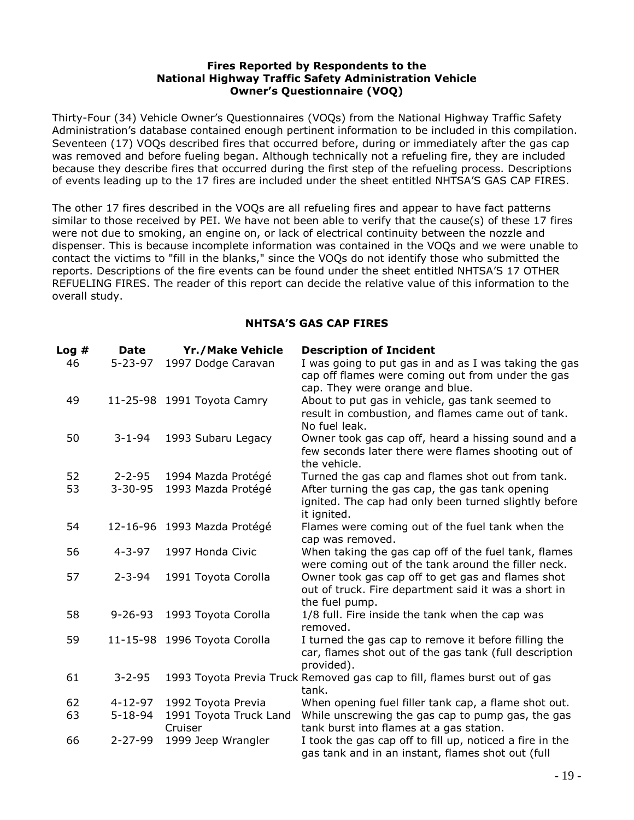#### **Fires Reported by Respondents to the National Highway Traffic Safety Administration Vehicle Owner's Questionnaire (VOQ)**

Thirty-Four (34) Vehicle Owner's Questionnaires (VOQs) from the National Highway Traffic Safety Administration's database contained enough pertinent information to be included in this compilation. Seventeen (17) VOQs described fires that occurred before, during or immediately after the gas cap was removed and before fueling began. Although technically not a refueling fire, they are included because they describe fires that occurred during the first step of the refueling process. Descriptions of events leading up to the 17 fires are included under the sheet entitled NHTSA'S GAS CAP FIRES.

The other 17 fires described in the VOQs are all refueling fires and appear to have fact patterns similar to those received by PEI. We have not been able to verify that the cause(s) of these 17 fires were not due to smoking, an engine on, or lack of electrical continuity between the nozzle and dispenser. This is because incomplete information was contained in the VOQs and we were unable to contact the victims to "fill in the blanks," since the VOQs do not identify those who submitted the reports. Descriptions of the fire events can be found under the sheet entitled NHTSA'S 17 OTHER REFUELING FIRES. The reader of this report can decide the relative value of this information to the overall study.

### **NHTSA'S GAS CAP FIRES**

| Log# | Date          | <b>Yr./Make Vehicle</b>           | <b>Description of Incident</b>                                                                                                                |
|------|---------------|-----------------------------------|-----------------------------------------------------------------------------------------------------------------------------------------------|
| 46   | $5 - 23 - 97$ | 1997 Dodge Caravan                | I was going to put gas in and as I was taking the gas<br>cap off flames were coming out from under the gas<br>cap. They were orange and blue. |
| 49   |               | 11-25-98 1991 Toyota Camry        | About to put gas in vehicle, gas tank seemed to<br>result in combustion, and flames came out of tank.<br>No fuel leak.                        |
| 50   | $3 - 1 - 94$  | 1993 Subaru Legacy                | Owner took gas cap off, heard a hissing sound and a<br>few seconds later there were flames shooting out of<br>the vehicle.                    |
| 52   | $2 - 2 - 95$  | 1994 Mazda Protégé                | Turned the gas cap and flames shot out from tank.                                                                                             |
| 53   | $3 - 30 - 95$ | 1993 Mazda Protégé                | After turning the gas cap, the gas tank opening<br>ignited. The cap had only been turned slightly before<br>it ignited.                       |
| 54   |               | 12-16-96 1993 Mazda Protégé       | Flames were coming out of the fuel tank when the<br>cap was removed.                                                                          |
| 56   | $4 - 3 - 97$  | 1997 Honda Civic                  | When taking the gas cap off of the fuel tank, flames<br>were coming out of the tank around the filler neck.                                   |
| 57   | $2 - 3 - 94$  | 1991 Toyota Corolla               | Owner took gas cap off to get gas and flames shot<br>out of truck. Fire department said it was a short in<br>the fuel pump.                   |
| 58   | $9 - 26 - 93$ | 1993 Toyota Corolla               | 1/8 full. Fire inside the tank when the cap was<br>removed.                                                                                   |
| 59   |               | 11-15-98 1996 Toyota Corolla      | I turned the gas cap to remove it before filling the<br>car, flames shot out of the gas tank (full description<br>provided).                  |
| 61   | $3 - 2 - 95$  |                                   | 1993 Toyota Previa Truck Removed gas cap to fill, flames burst out of gas<br>tank.                                                            |
| 62   | $4 - 12 - 97$ | 1992 Toyota Previa                | When opening fuel filler tank cap, a flame shot out.                                                                                          |
| 63   | $5 - 18 - 94$ | 1991 Toyota Truck Land<br>Cruiser | While unscrewing the gas cap to pump gas, the gas<br>tank burst into flames at a gas station.                                                 |
| 66   | $2 - 27 - 99$ | 1999 Jeep Wrangler                | I took the gas cap off to fill up, noticed a fire in the<br>gas tank and in an instant, flames shot out (full                                 |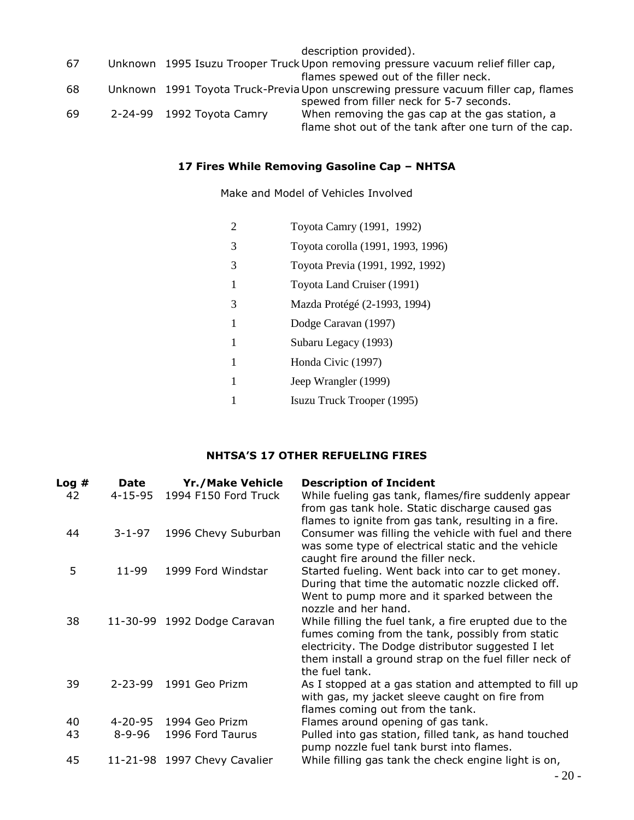|    |                           | description provided).                                                              |
|----|---------------------------|-------------------------------------------------------------------------------------|
| 67 |                           | Unknown 1995 Isuzu Trooper Truck Upon removing pressure vacuum relief filler cap,   |
|    |                           | flames spewed out of the filler neck.                                               |
| 68 |                           | Unknown 1991 Toyota Truck-Previa Upon unscrewing pressure vacuum filler cap, flames |
|    |                           | spewed from filler neck for 5-7 seconds.                                            |
| 69 | 2-24-99 1992 Toyota Camry | When removing the gas cap at the gas station, a                                     |
|    |                           | flame shot out of the tank after one turn of the cap.                               |

## **17 Fires While Removing Gasoline Cap – NHTSA**

Make and Model of Vehicles Involved

| 2 | Toyota Camry (1991, 1992)         |
|---|-----------------------------------|
| 3 | Toyota corolla (1991, 1993, 1996) |
| 3 | Toyota Previa (1991, 1992, 1992)  |
| 1 | Toyota Land Cruiser (1991)        |
| 3 | Mazda Protégé (2-1993, 1994)      |
| 1 | Dodge Caravan (1997)              |
| 1 | Subaru Legacy (1993)              |
| 1 | Honda Civic (1997)                |
| 1 | Jeep Wrangler (1999)              |
|   | Isuzu Truck Trooper (1995)        |

### **NHTSA'S 17 OTHER REFUELING FIRES**

| Log# | <b>Date</b>   | <b>Yr./Make Vehicle</b>      | <b>Description of Incident</b>                                                                                                                                                                                                               |
|------|---------------|------------------------------|----------------------------------------------------------------------------------------------------------------------------------------------------------------------------------------------------------------------------------------------|
| 42   | 4-15-95       | 1994 F150 Ford Truck         | While fueling gas tank, flames/fire suddenly appear<br>from gas tank hole. Static discharge caused gas<br>flames to ignite from gas tank, resulting in a fire.                                                                               |
| 44   | $3 - 1 - 97$  | 1996 Chevy Suburban          | Consumer was filling the vehicle with fuel and there<br>was some type of electrical static and the vehicle<br>caught fire around the filler neck.                                                                                            |
| 5    | 11-99         | 1999 Ford Windstar           | Started fueling. Went back into car to get money.<br>During that time the automatic nozzle clicked off.<br>Went to pump more and it sparked between the<br>nozzle and her hand.                                                              |
| 38   |               | 11-30-99 1992 Dodge Caravan  | While filling the fuel tank, a fire erupted due to the<br>fumes coming from the tank, possibly from static<br>electricity. The Dodge distributor suggested I let<br>them install a ground strap on the fuel filler neck of<br>the fuel tank. |
| 39   | $2 - 23 - 99$ | 1991 Geo Prizm               | As I stopped at a gas station and attempted to fill up<br>with gas, my jacket sleeve caught on fire from<br>flames coming out from the tank.                                                                                                 |
| 40   | $4 - 20 - 95$ | 1994 Geo Prizm               | Flames around opening of gas tank.                                                                                                                                                                                                           |
| 43   | $8 - 9 - 96$  | 1996 Ford Taurus             | Pulled into gas station, filled tank, as hand touched<br>pump nozzle fuel tank burst into flames.                                                                                                                                            |
| 45   |               | 11-21-98 1997 Chevy Cavalier | While filling gas tank the check engine light is on,                                                                                                                                                                                         |